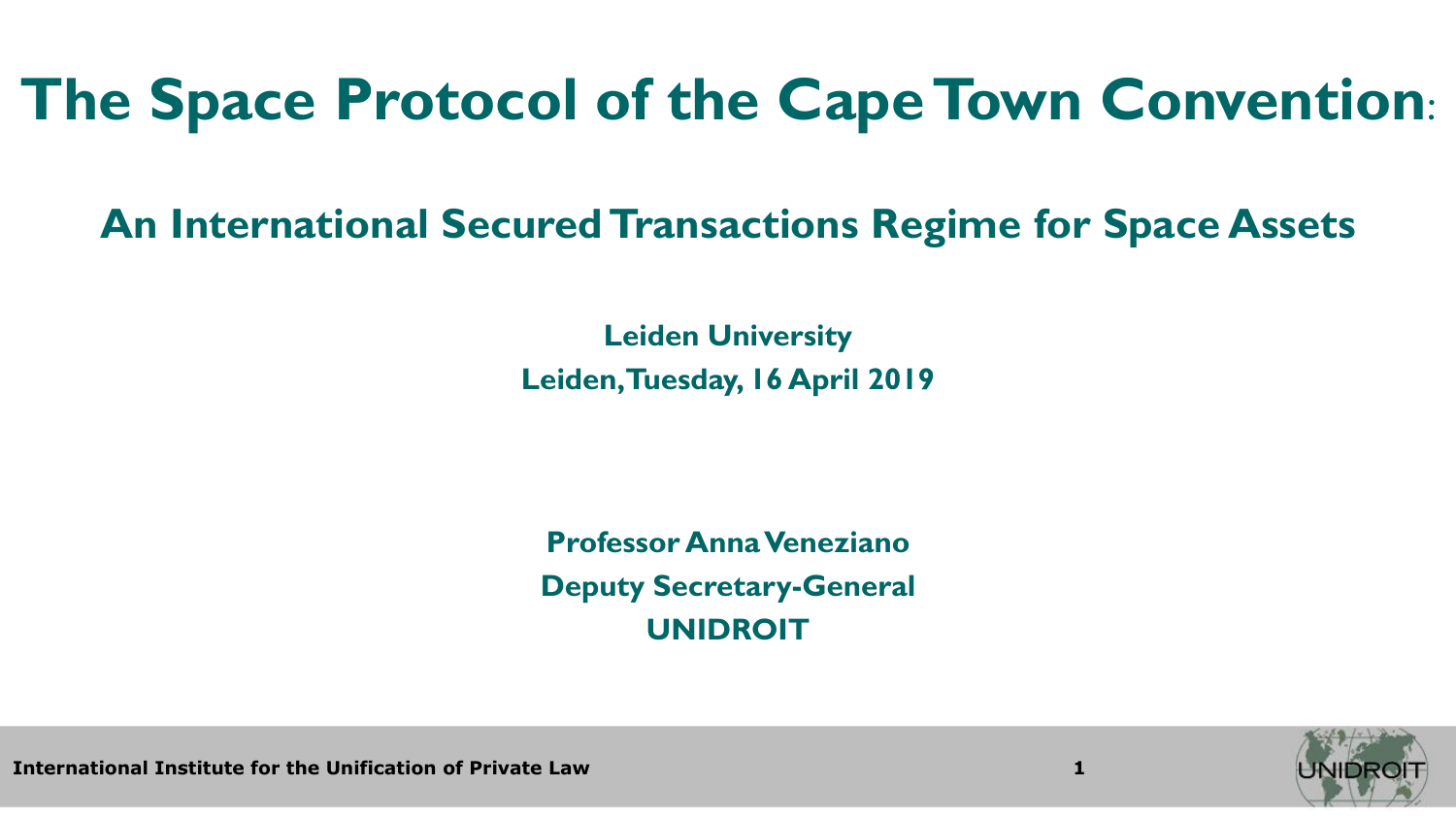# **The Space Protocol of the Cape Town Convention**:

### **An International Secured Transactions Regime for Space Assets**

**Leiden University Leiden, Tuesday, 16 April 2019**

**Professor Anna Veneziano Deputy Secretary-General UNIDROIT**



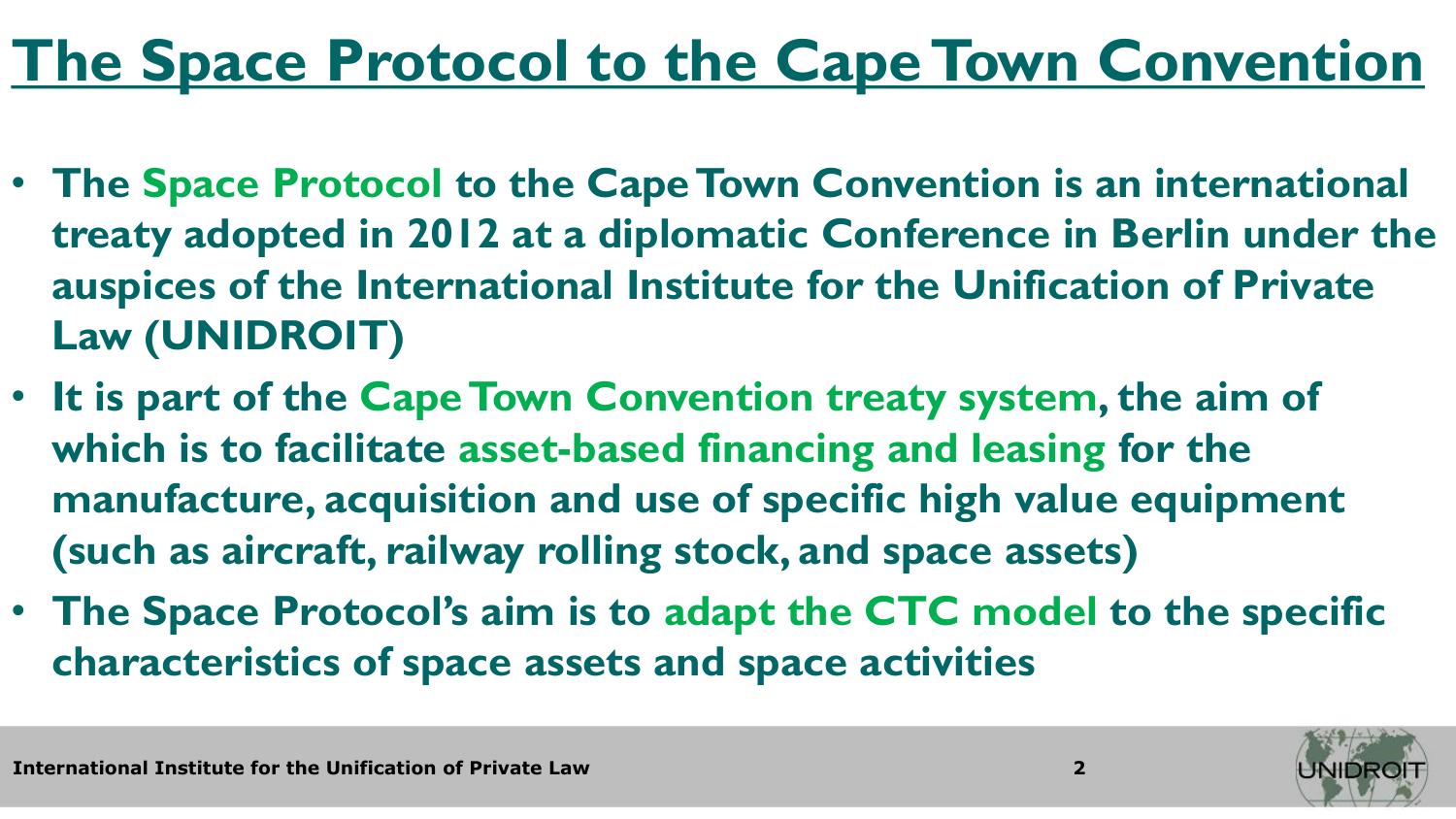# **The Space Protocol to the Cape Town Convention**

- **The Space Protocol to the Cape Town Convention is an international treaty adopted in 2012 at a diplomatic Conference in Berlin under the auspices of the International Institute for the Unification of Private Law (UNIDROIT)**
- **It is part of the Cape Town Convention treaty system, the aim of which is to facilitate asset-based financing and leasing for the manufacture, acquisition and use of specific high value equipment (such as aircraft, railway rolling stock, and space assets)**
- **The Space Protocol's aim is to adapt the CTC model to the specific characteristics of space assets and space activities**

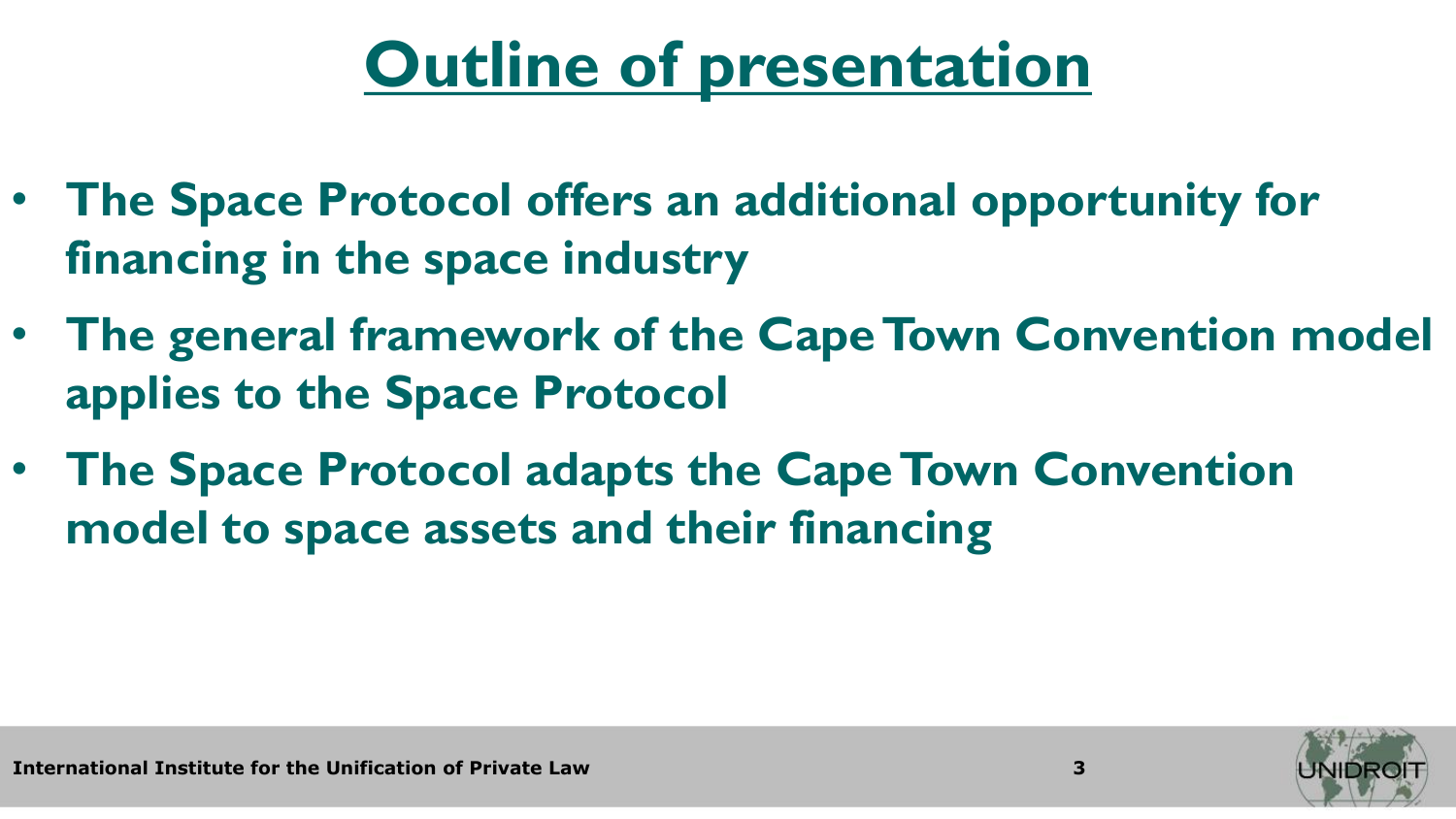# **Outline of presentation**

- **The Space Protocol offers an additional opportunity for financing in the space industry**
- **The general framework of the Cape Town Convention model applies to the Space Protocol**
- **The Space Protocol adapts the Cape Town Convention model to space assets and their financing**

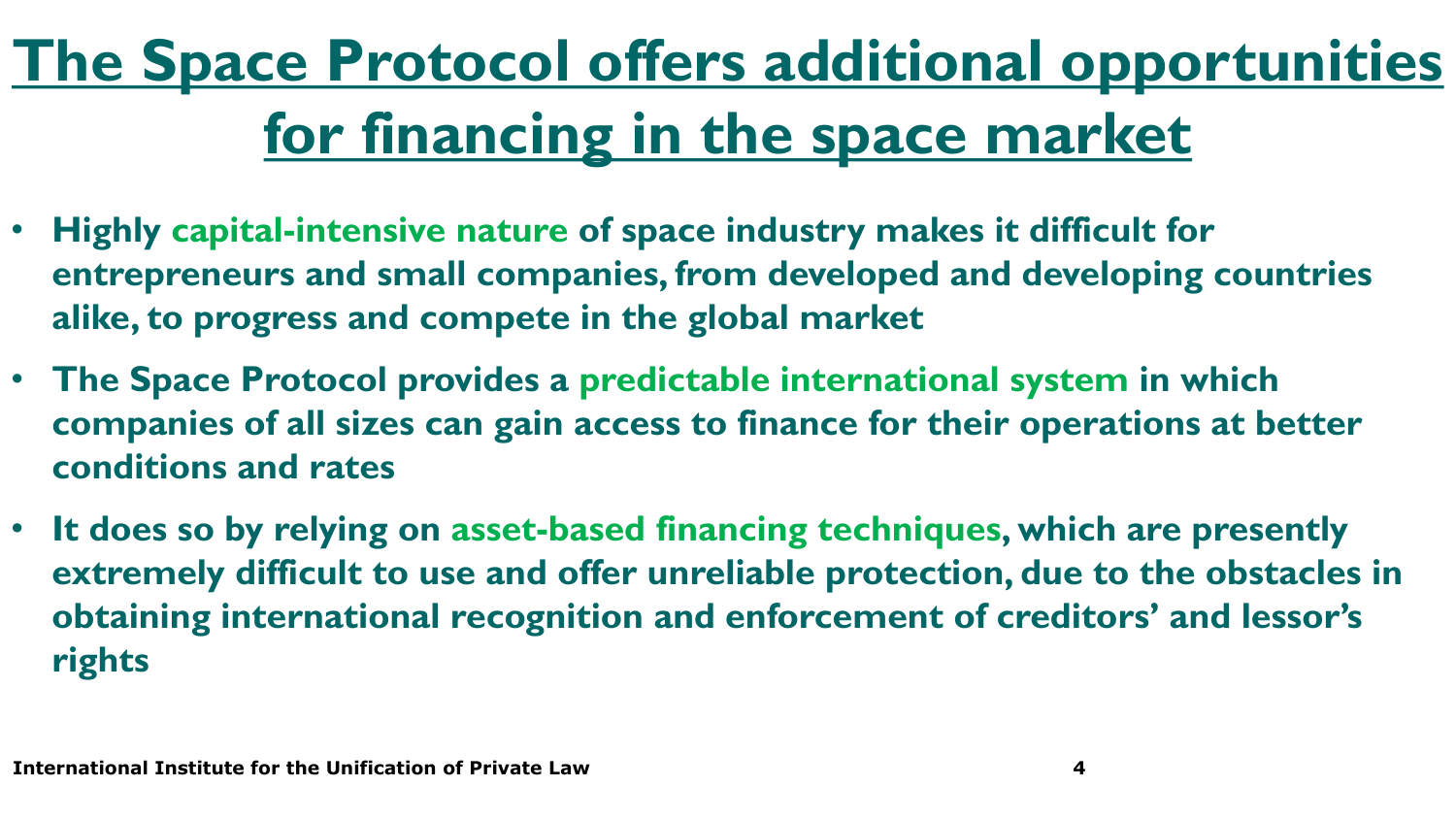# **The Space Protocol offers additional opportunities for financing in the space market**

- **Highly capital-intensive nature of space industry makes it difficult for entrepreneurs and small companies, from developed and developing countries alike, to progress and compete in the global market**
- **The Space Protocol provides a predictable international system in which companies of all sizes can gain access to finance for their operations at better conditions and rates**
- **It does so by relying on asset-based financing techniques, which are presently extremely difficult to use and offer unreliable protection, due to the obstacles in obtaining international recognition and enforcement of creditors' and lessor's rights**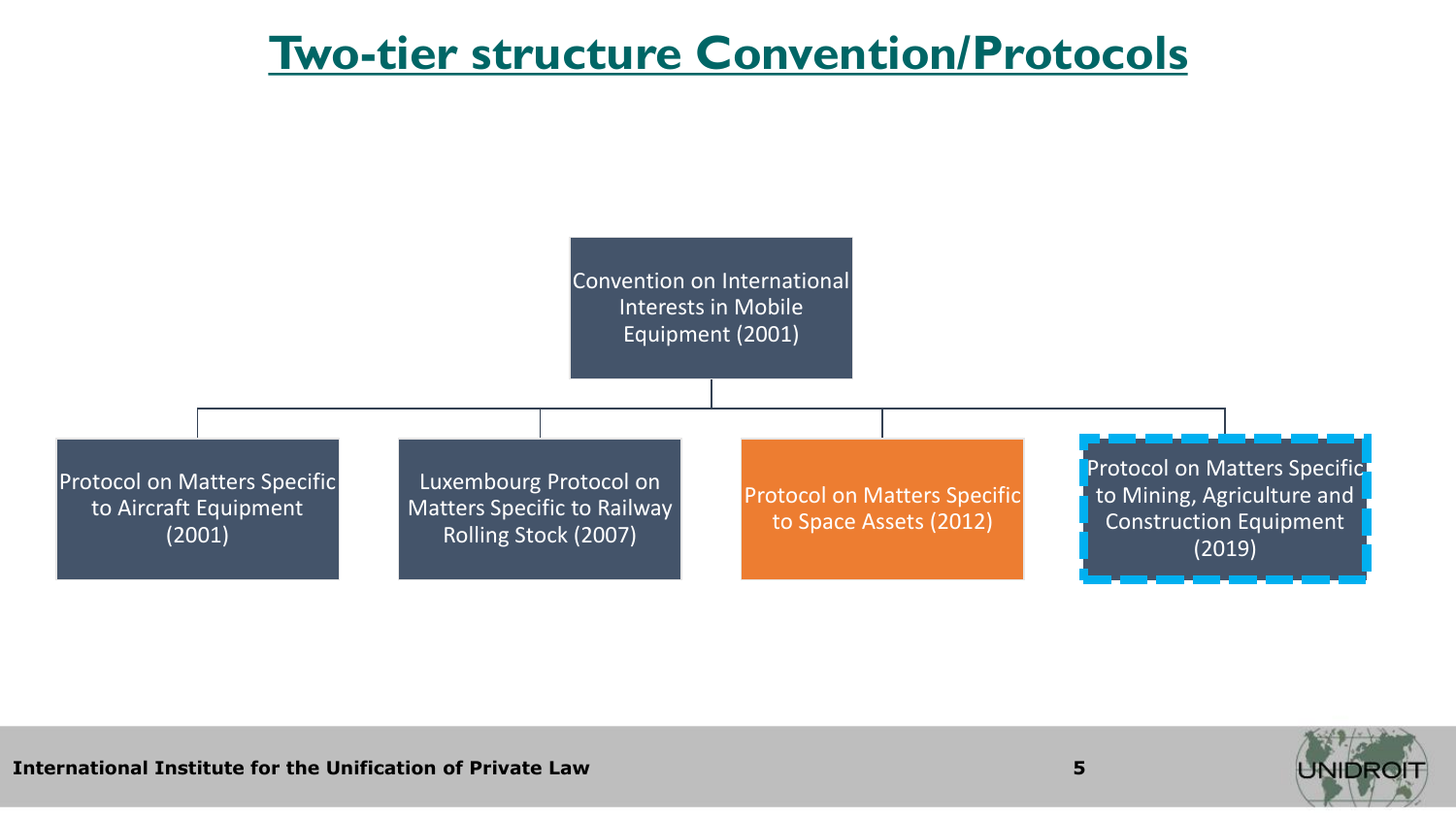### **Two-tier structure Convention/Protocols**



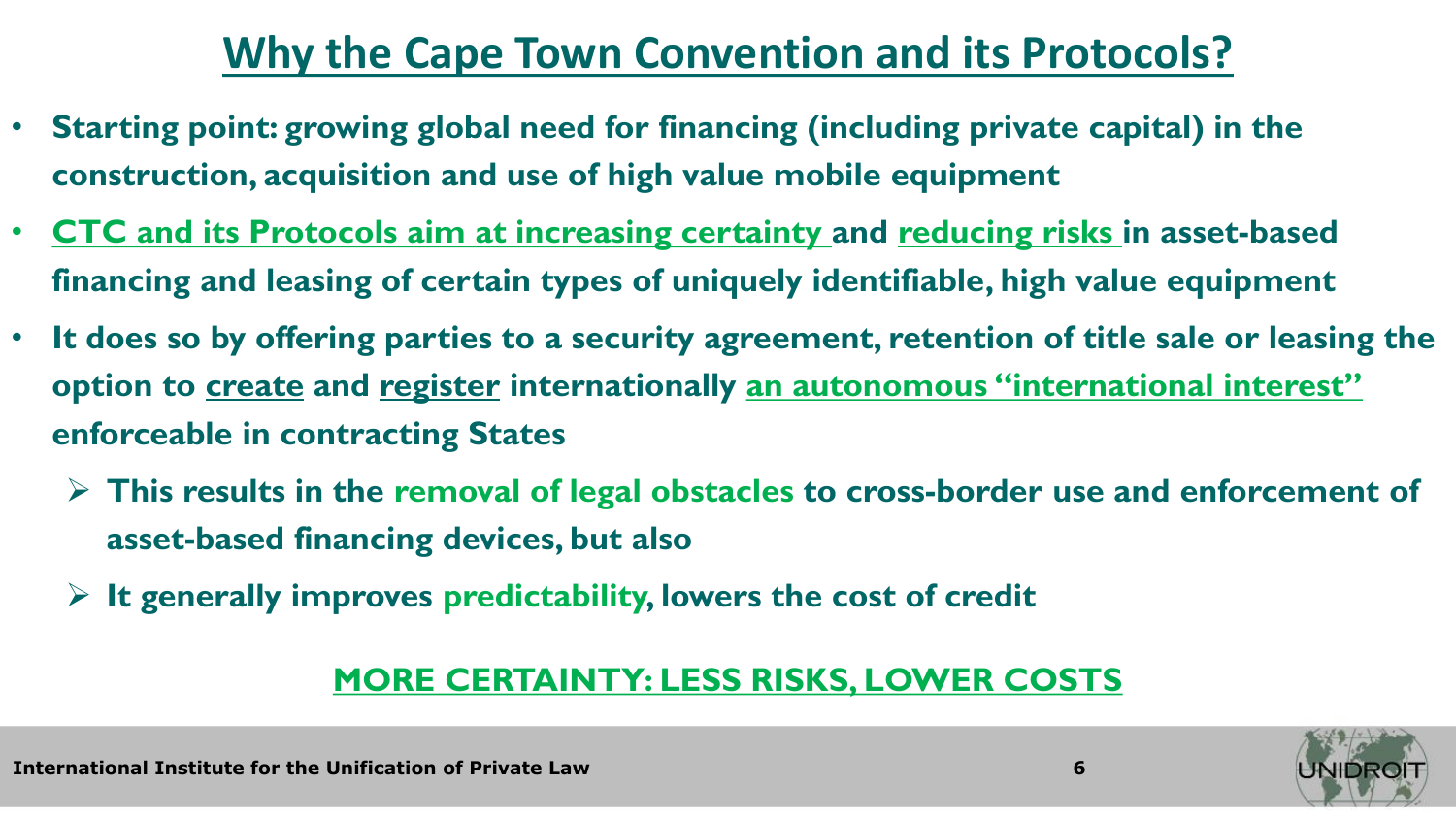### **Why the Cape Town Convention and its Protocols?**

- **Starting point: growing global need for financing (including private capital) in the construction, acquisition and use of high value mobile equipment**
- **CTC and its Protocols aim at increasing certainty and reducing risks in asset-based financing and leasing of certain types of uniquely identifiable, high value equipment**
- **It does so by offering parties to a security agreement, retention of title sale or leasing the option to create and register internationally an autonomous "international interest" enforceable in contracting States**
	- ➢ **This results in the removal of legal obstacles to cross-border use and enforcement of asset-based financing devices, but also**
	- ➢ **It generally improves predictability, lowers the cost of credit**

#### **MORE CERTAINTY: LESS RISKS, LOWER COSTS**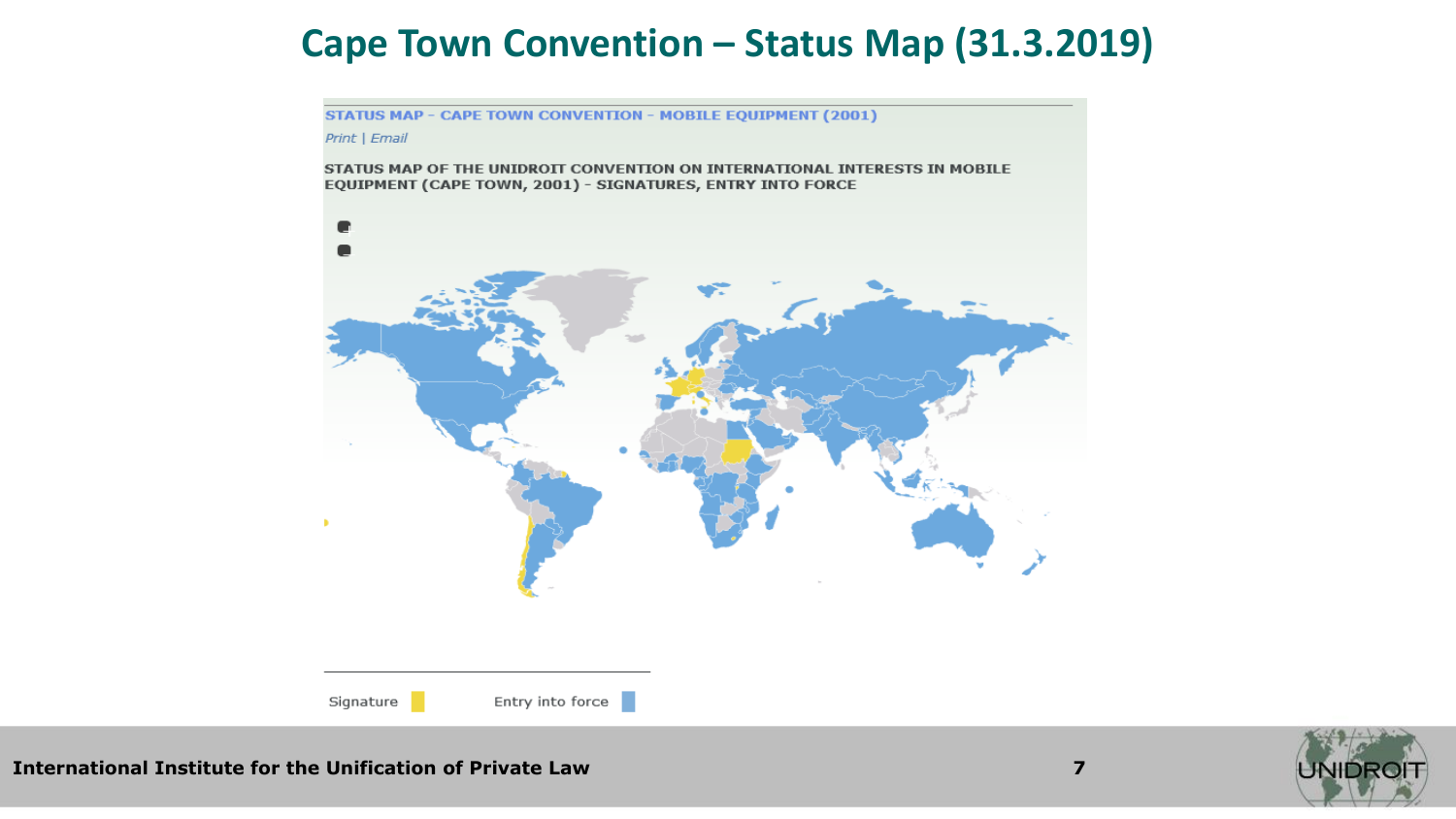### **Cape Town Convention – Status Map (31.3.2019)**

**STATUS MAP - CAPE TOWN CONVENTION - MOBILE EQUIPMENT (2001)** 

Print | Email

STATUS MAP OF THE UNIDROIT CONVENTION ON INTERNATIONAL INTERESTS IN MOBILE EQUIPMENT (CAPE TOWN, 2001) - SIGNATURES, ENTRY INTO FORCE



**International Institute for the Unification of Private Law 7**



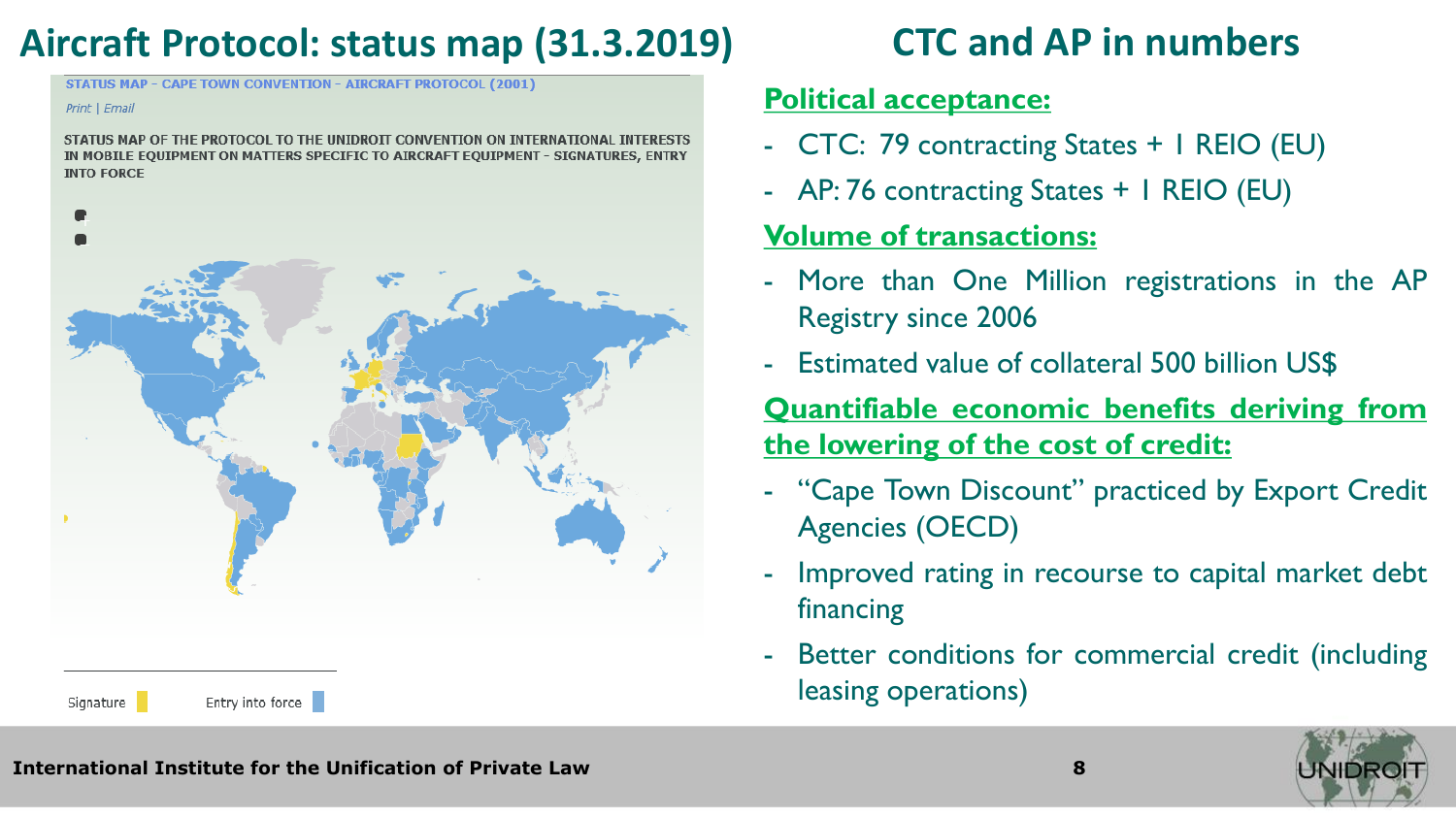### **Aircraft Protocol: status map (31.3.2019) CTC and AP in numbers**

**STATUS MAP - CAPE TOWN CONVENTION - AIRCRAFT PROTOCOL (2001)** 

#### Print | Email

STATUS MAP OF THE PROTOCOL TO THE UNIDROIT CONVENTION ON INTERNATIONAL INTERESTS IN MOBILE EQUIPMENT ON MATTERS SPECIFIC TO AIRCRAFT EQUIPMENT - SIGNATURES, ENTRY **INTO FORCE** 



#### **Political acceptance:**

- CTC: 79 contracting States + 1 REIO (EU)
- AP: 76 contracting States + 1 REIO (EU)

#### **Volume of transactions:**

- More than One Million registrations in the AP Registry since 2006
- Estimated value of collateral 500 billion US\$

**Quantifiable economic benefits deriving from the lowering of the cost of credit:**

- "Cape Town Discount" practiced by Export Credit Agencies (OECD)
- Improved rating in recourse to capital market debt financing
- Better conditions for commercial credit (including leasing operations)

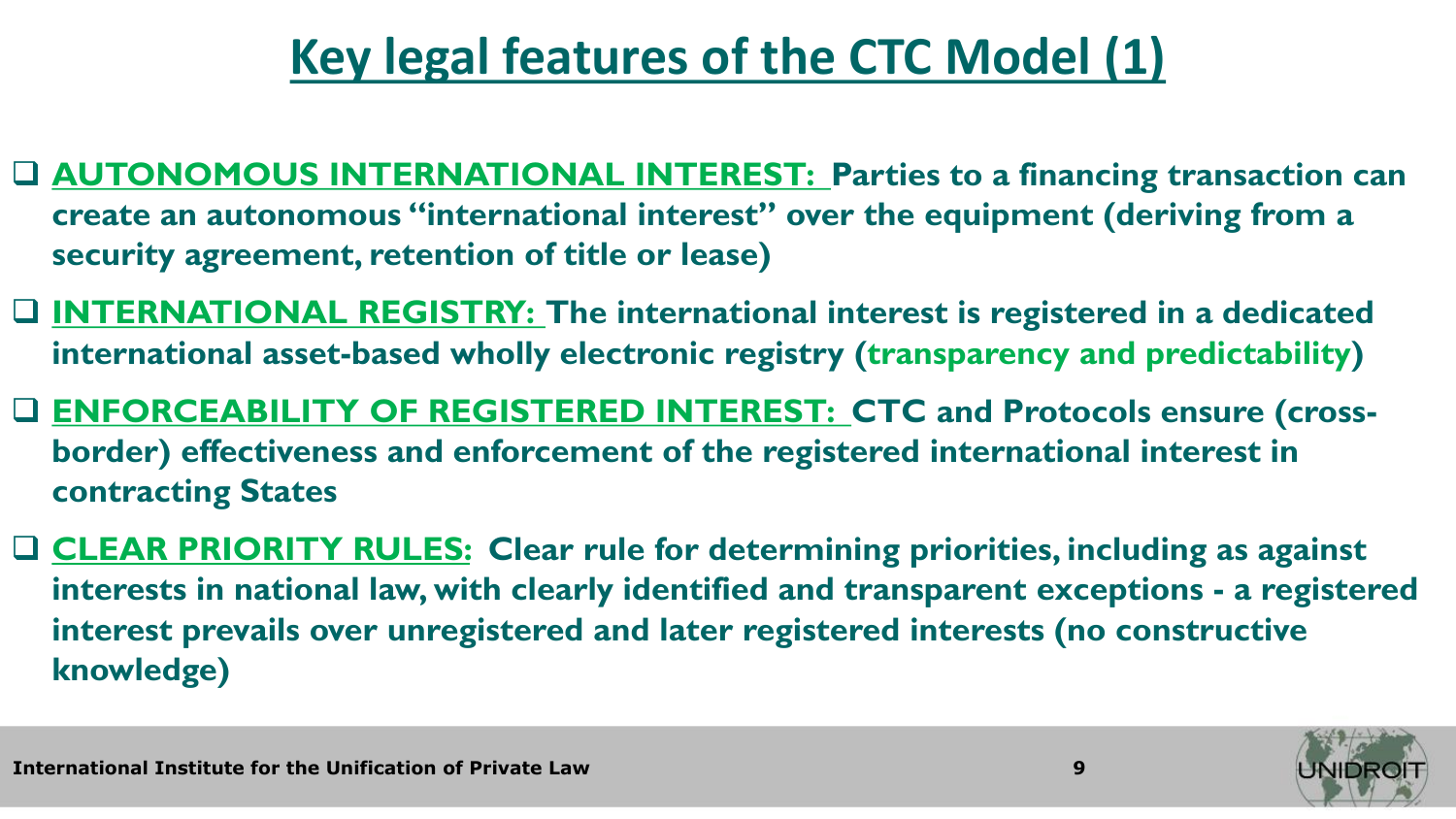# **Key legal features of the CTC Model (1)**

- □ **AUTONOMOUS INTERNATIONAL INTEREST:** Parties to a financing transaction can **create an autonomous "international interest" over the equipment (deriving from a security agreement, retention of title or lease)**
- ❑ **INTERNATIONAL REGISTRY: The international interest is registered in a dedicated international asset-based wholly electronic registry (transparency and predictability)**
- ❑ **ENFORCEABILITY OF REGISTERED INTEREST: CTC and Protocols ensure (crossborder) effectiveness and enforcement of the registered international interest in contracting States**
- ❑ **CLEAR PRIORITY RULES: Clear rule for determining priorities, including as against interests in national law, with clearly identified and transparent exceptions - a registered interest prevails over unregistered and later registered interests (no constructive knowledge)**

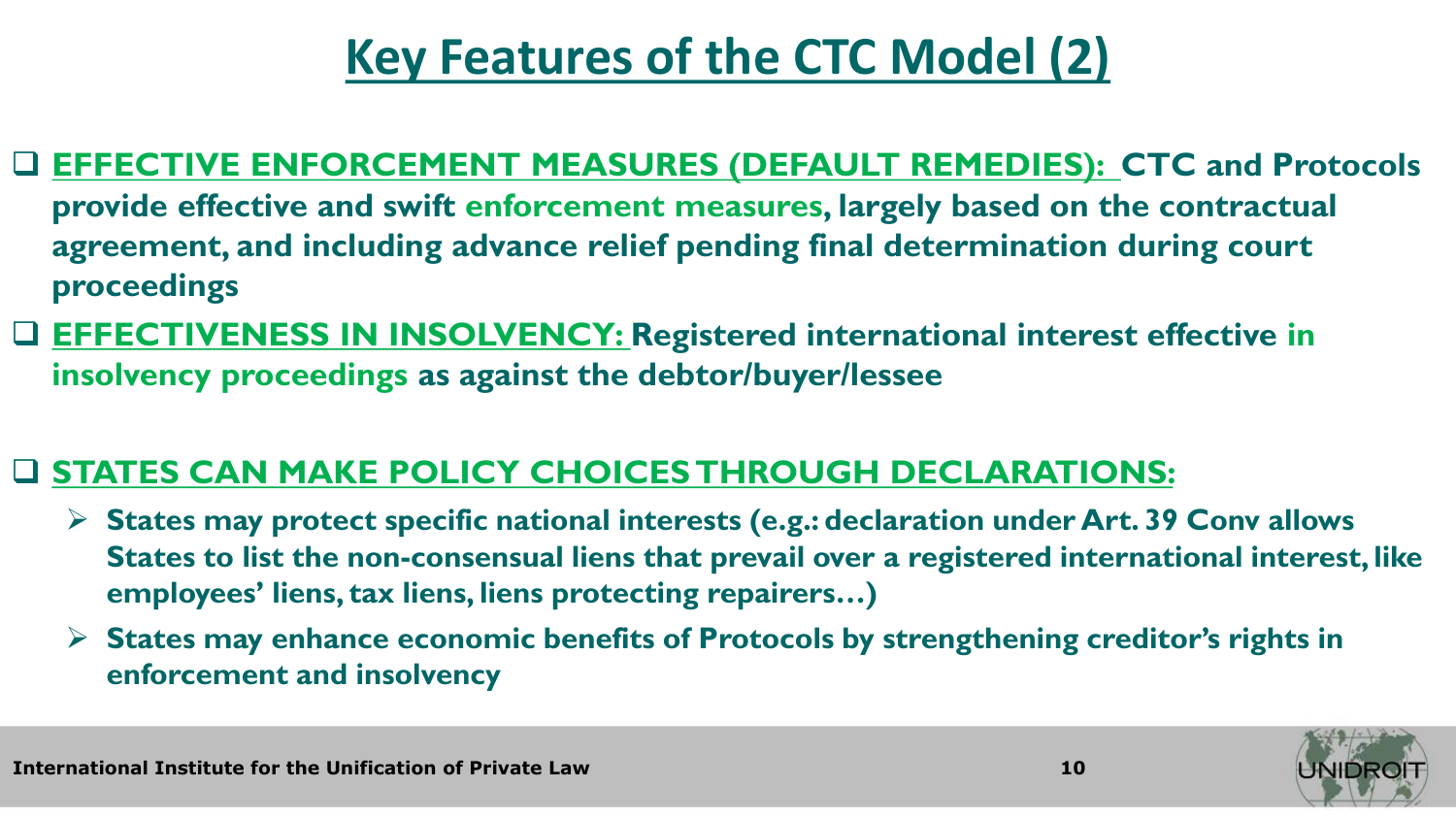# **Key Features of the CTC Model (2)**

#### ❑ **EFFECTIVE ENFORCEMENT MEASURES (DEFAULT REMEDIES): CTC and Protocols provide effective and swift enforcement measures, largely based on the contractual agreement, and including advance relief pending final determination during court proceedings**

❑ **EFFECTIVENESS IN INSOLVENCY: Registered international interest effective in insolvency proceedings as against the debtor/buyer/lessee** 

#### ❑ **STATES CAN MAKE POLICY CHOICES THROUGH DECLARATIONS:**

- ➢ **States may protect specific national interests (e.g.: declaration under Art. 39 Conv allows States to list the non-consensual liens that prevail over a registered international interest, like employees' liens, tax liens, liens protecting repairers…)**
- ➢ **States may enhance economic benefits of Protocols by strengthening creditor's rights in enforcement and insolvency**



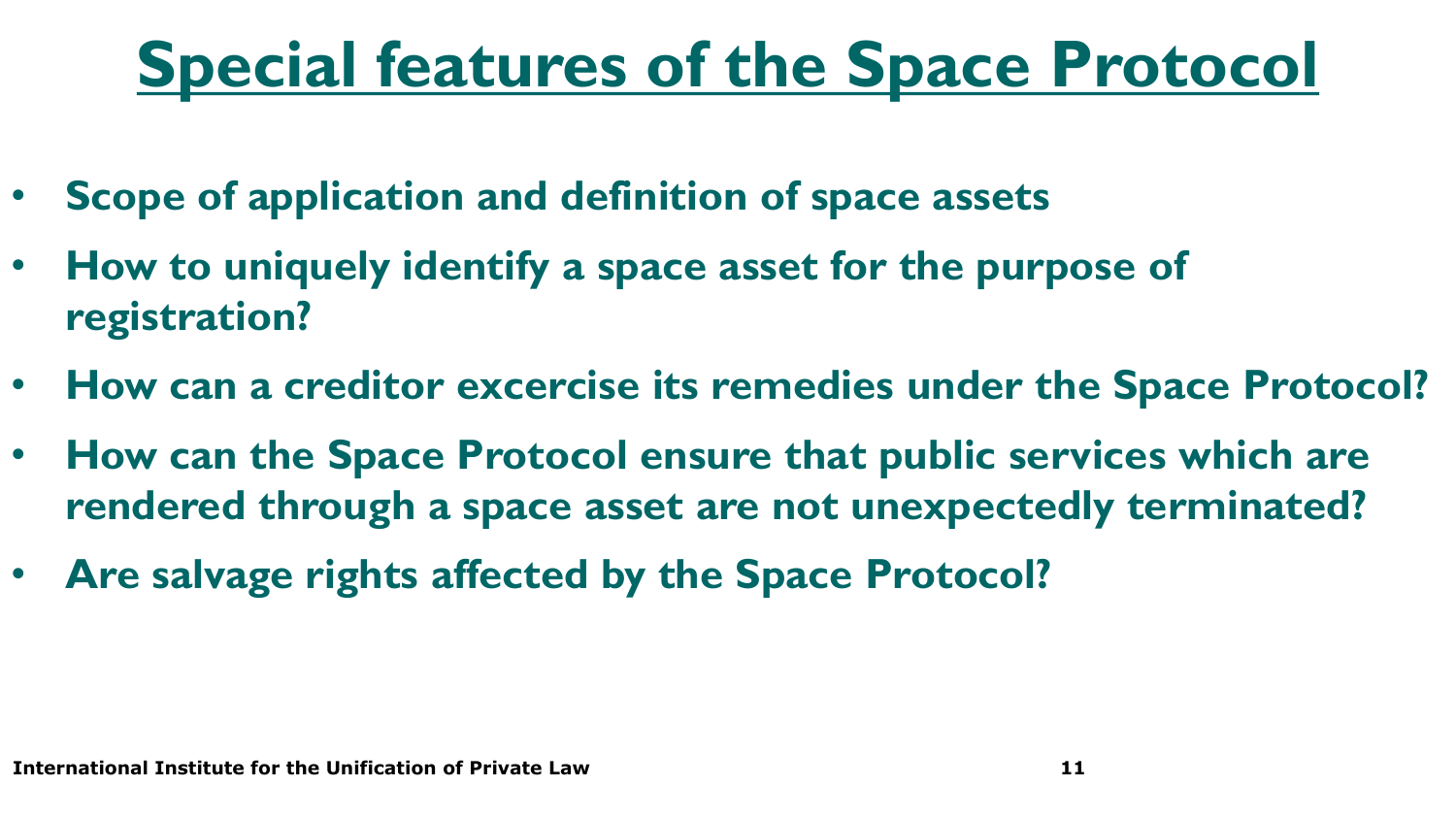# **Special features of the Space Protocol**

- **Scope of application and definition of space assets**
- **How to uniquely identify a space asset for the purpose of registration?**
- **How can a creditor excercise its remedies under the Space Protocol?**
- **How can the Space Protocol ensure that public services which are rendered through a space asset are not unexpectedly terminated?**
- **Are salvage rights affected by the Space Protocol?**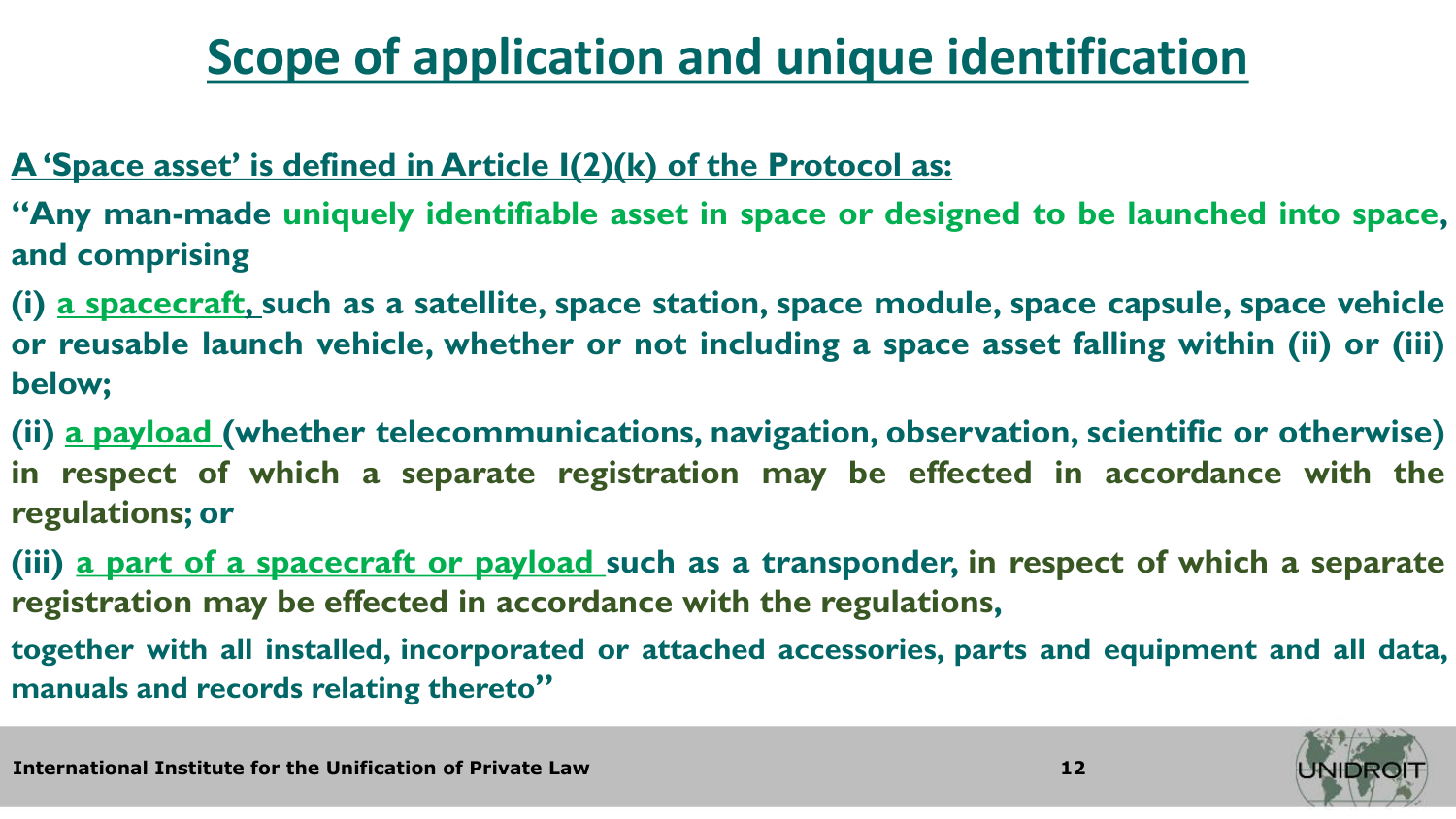# **Scope of application and unique identification**

#### **A 'Space asset' is defined in Article I(2)(k) of the Protocol as:**

**"Any man-made uniquely identifiable asset in space or designed to be launched into space, and comprising**

**(i) a spacecraft, such as a satellite, space station, space module, space capsule, space vehicle or reusable launch vehicle, whether or not including a space asset falling within (ii) or (iii) below;**

**(ii) a payload (whether telecommunications, navigation, observation, scientific or otherwise) in respect of which a separate registration may be effected in accordance with the regulations; or**

**(iii) a part of a spacecraft or payload such as a transponder, in respect of which a separate registration may be effected in accordance with the regulations,**

**together with all installed, incorporated or attached accessories, parts and equipment and all data, manuals and records relating thereto"**

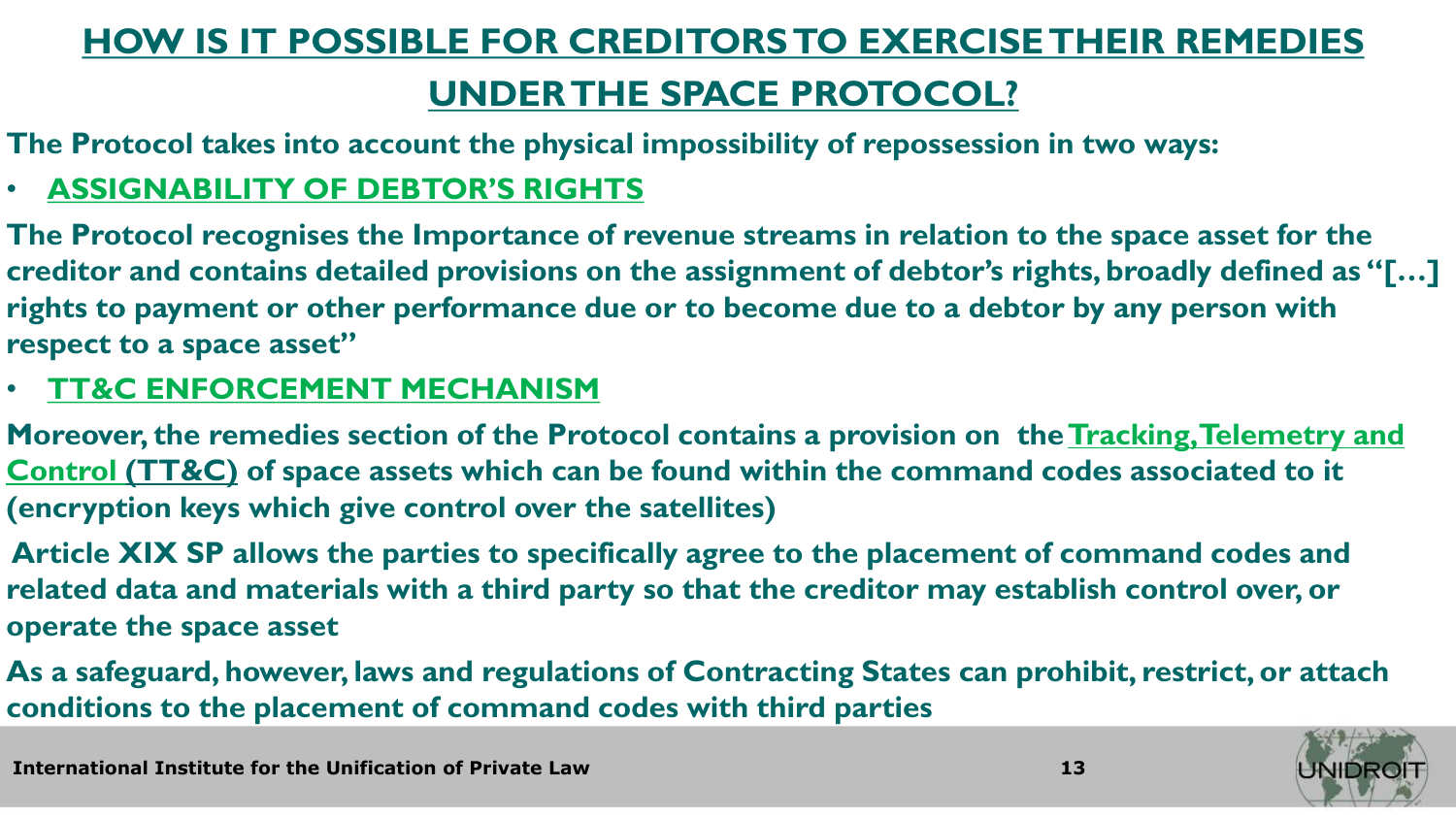### **HOW IS IT POSSIBLE FOR CREDITORS TO EXERCISE THEIR REMEDIES**

### **UNDER THE SPACE PROTOCOL?**

**The Protocol takes into account the physical impossibility of repossession in two ways:**

#### • **ASSIGNABILITY OF DEBTOR'S RIGHTS**

**The Protocol recognises the Importance of revenue streams in relation to the space asset for the creditor and contains detailed provisions on the assignment of debtor's rights, broadly defined as "[…] rights to payment or other performance due or to become due to a debtor by any person with respect to a space asset"**

#### • **TT&C ENFORCEMENT MECHANISM**

**Moreover, the remedies section of the Protocol contains a provision on the Tracking, Telemetry and Control (TT&C) of space assets which can be found within the command codes associated to it (encryption keys which give control over the satellites)**

**Article XIX SP allows the parties to specifically agree to the placement of command codes and related data and materials with a third party so that the creditor may establish control over, or operate the space asset**

**As a safeguard, however, laws and regulations of Contracting States can prohibit, restrict, or attach conditions to the placement of command codes with third parties**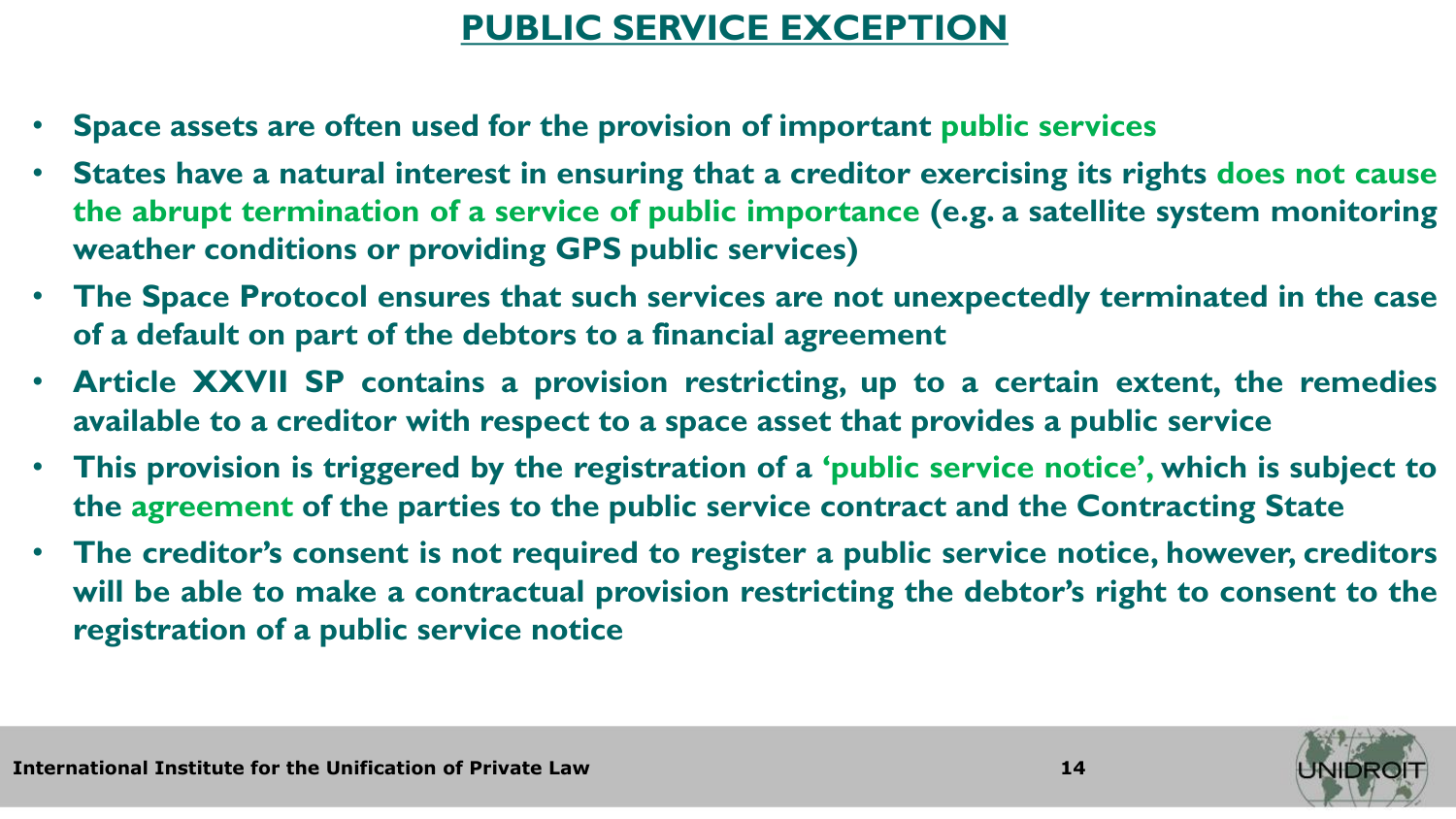### **PUBLIC SERVICE EXCEPTION**

- **Space assets are often used for the provision of important public services**
- **States have a natural interest in ensuring that a creditor exercising its rights does not cause the abrupt termination of a service of public importance (e.g. a satellite system monitoring weather conditions or providing GPS public services)**
- **The Space Protocol ensures that such services are not unexpectedly terminated in the case of a default on part of the debtors to a financial agreement**
- **Article XXVII SP contains a provision restricting, up to a certain extent, the remedies available to a creditor with respect to a space asset that provides a public service**
- **This provision is triggered by the registration of a 'public service notice', which is subject to the agreement of the parties to the public service contract and the Contracting State**
- **The creditor's consent is not required to register a public service notice, however, creditors will be able to make a contractual provision restricting the debtor's right to consent to the registration of a public service notice**

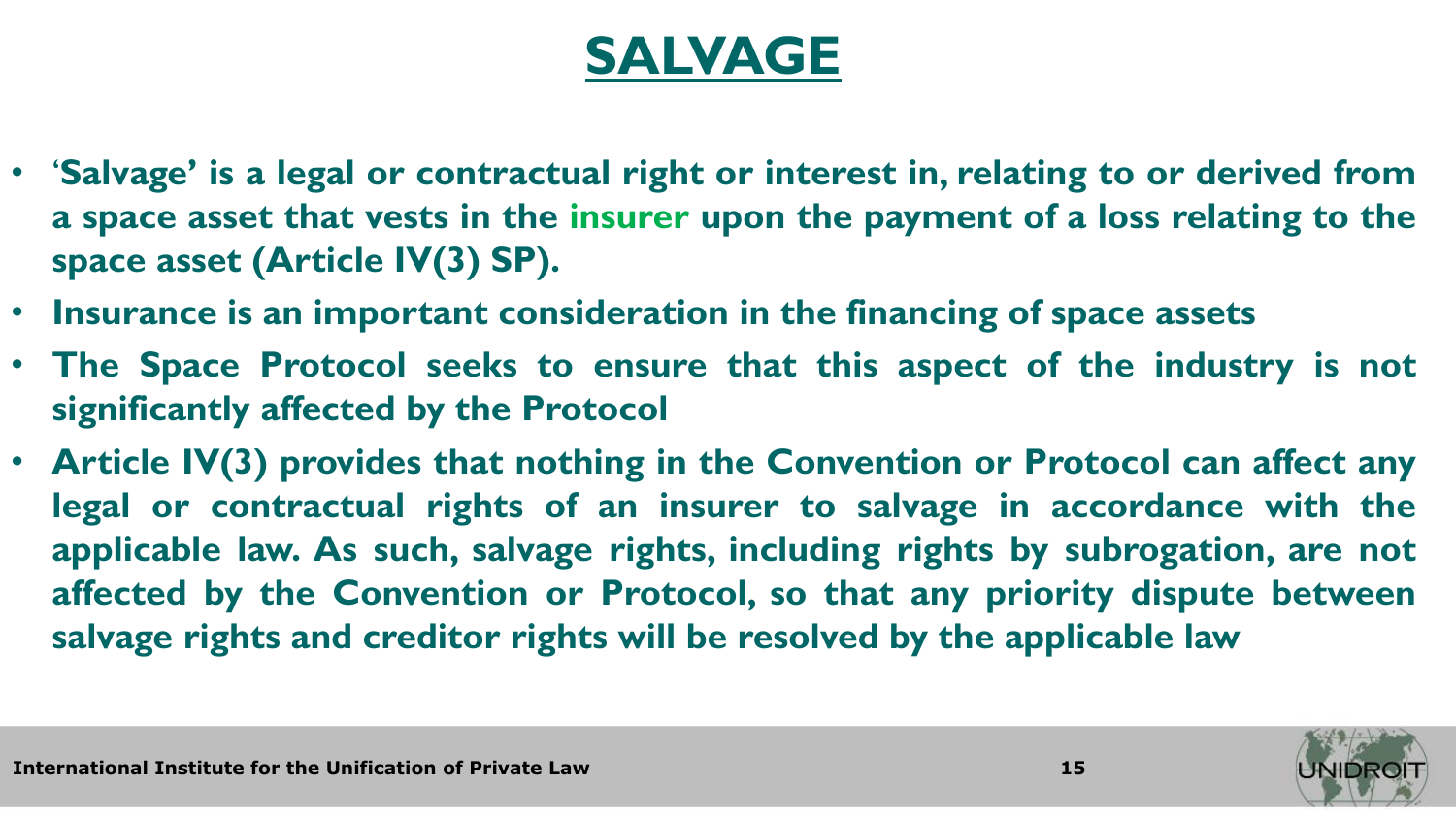### **SALVAGE**

- '**Salvage' is a legal or contractual right or interest in, relating to or derived from a space asset that vests in the insurer upon the payment of a loss relating to the space asset (Article IV(3) SP).**
- **Insurance is an important consideration in the financing of space assets**
- **The Space Protocol seeks to ensure that this aspect of the industry is not significantly affected by the Protocol**
- **Article IV(3) provides that nothing in the Convention or Protocol can affect any legal or contractual rights of an insurer to salvage in accordance with the applicable law. As such, salvage rights, including rights by subrogation, are not affected by the Convention or Protocol, so that any priority dispute between salvage rights and creditor rights will be resolved by the applicable law**

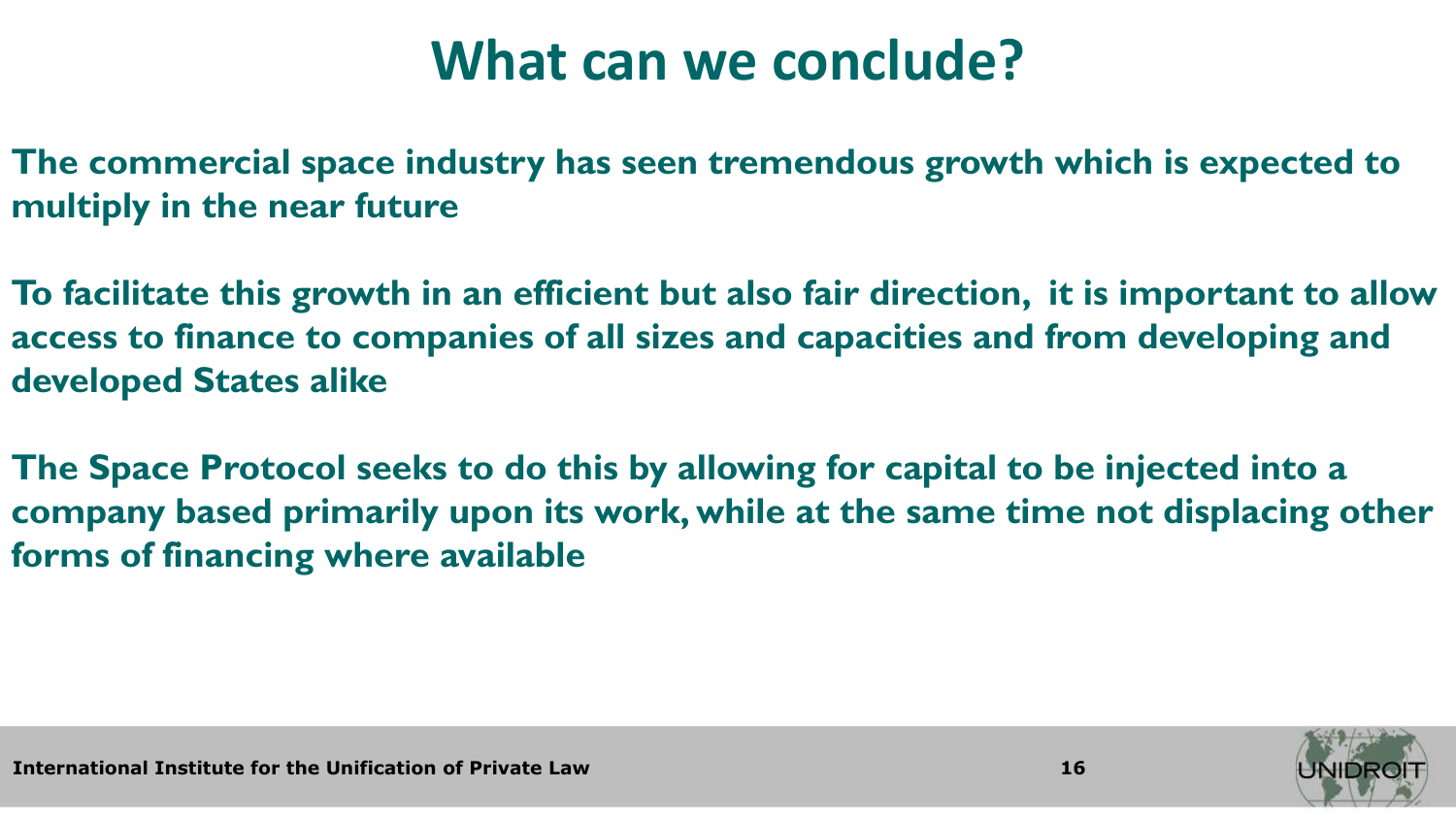# **What can we conclude?**

**The commercial space industry has seen tremendous growth which is expected to multiply in the near future**

**To facilitate this growth in an efficient but also fair direction, it is important to allow access to finance to companies of all sizes and capacities and from developing and developed States alike**

**The Space Protocol seeks to do this by allowing for capital to be injected into a company based primarily upon its work, while at the same time not displacing other forms of financing where available**